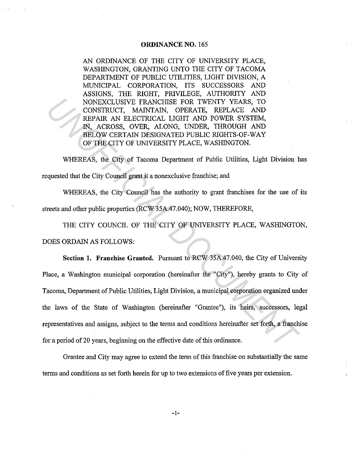## **ORDINANCE NO.** 165

AN ORDINANCE OF THE CITY OF UNIVERSITY PLACE, WASHINGTON, GRANTING UNTO THE CITY OF TACOMA DEPARTMENT OF PUBLIC UTILITIES, LIGHT DIVISION, A MUNICIPAL CORPORATION, ITS SUCCESSORS AND ASSIGNS, THE RIGHT, PRIVILEGE, AUTHORITY AND NONEXCLUSIVE FRANCHISE FOR TWENTY YEARS, TO CONSTRUCT, MAINTAIN, OPERATE, REPLACE AND REPAIR AN ELECTRICAL LIGHT AND POWER SYSTEM, IN, ACROSS, OVER, ALONG, UNDER, THROUGH AND BELOW CERTAIN DESIGNATED PUBLIC RIGHTS-OF-WAY OF THE CITY OF UNIVERSITY PLACE, WASHINGTON.

WHEREAS, the City of Tacoma Department of Public Utilities, Light Division has requested that the City Council grant it a nonexclusive franchise; and

WHEREAS, the City Council has the authority to grant franchises for the use of its streets and other public properties (RCW 35A.47.040); NOW, THEREFORE,

THE CITY COUNCIL OF THE CITY OF UNIVERSITY PLACE, WASHINGTON, DOES ORDAIN AS FOLLOWS:

**Section 1. Franchise Granted.** Pursuant to RCW 35A.47.040, the City of University Place, a Washington municipal corporation (hereinafter the "City"), hereby grants to City of Tacoma, Department of Public Utilities, Light Division, a municipal corporation organized under the laws of the State of Washington (hereinafter "Grantee"), its heirs, successors, legal representatives and assigns, subject to the terms and conditions hereinafter set forth, a franchise for a period of 20 years, beginning on the effective date of this ordinance. **NONEXCLUSIVE FRANCHISE FOR TWENTY YEARS, TO**<br>CONSTRUCT, MAINTAIN, OPERATE, REPLACE AND<br>REPAIR AN ELECTRICAL LIGHT AND POWER SYSTEM,<br>IN, ACROSS, OVER, ALONG, UNDER, TIROUGH AND<br>PELOW CERTAIN DESIGNATED PUBLIC RIGHTS-OF-WAY

Grantee and City may agree to extend the term of this franchise on substantially the same terms and conditions as set forth herein for up to two extensions of five years per extension.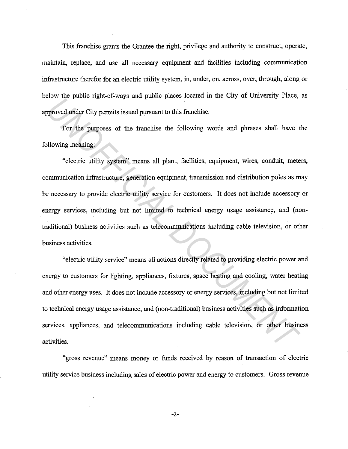This franchise grants the Grantee the right, privilege and authority to construct, operate, maintain, replace, and use all necessary equipment and facilities including communication infrastructure therefor for an electric utility system, in, under, on, across, over, through, along or below the public right-of-ways and public places located in the City of University Place, as approved under City permits issued pursuant to this franchise.

For the purposes of the franchise the following words and phrases shall have the following meaning:

"electric utility system" means all plant, facilities, equipment, wires, conduit, meters, communication infrastructure, generation equipment, transmission and distribution poles as may be necessary to provide electric utility service for customers. It does not include accessory or energy services, including but not limited to technical energy usage assistance, and (nontraditional) business activities such as telecommunications including cable television, or other business activities. *USA* are point Equivar may also pursue for the bilowing mate of the purposes of the franchise to bilowing meaning:<br>
For the purposes of the franchise the following words and phrases shall have to<br> *UNOWing meaning:*<br>
"ele

"electric utility service" means all actions directly related to providing electric power and energy to customers for lighting, appliances, fixtures, space heating and cooling, water heating and other energy uses. It does not include accessory or energy services, including but not limited to technical energy usage assistance, and (non-traditional) business activities such as information services, appliances, and telecommunications including cable television, or other business activities.

"gross revenue" means money or funds received by reason of transaction of electric utility service business including sales of electric power and energy to customers. Gross revenue

-2-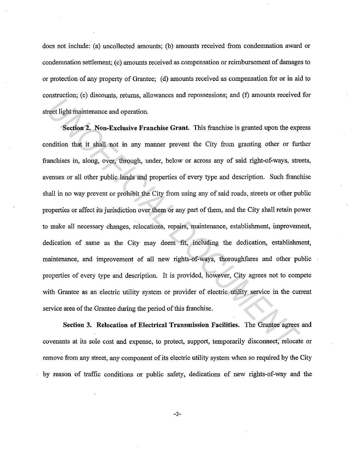does not include: (a) uncollected amounts; (b) amounts received from condemnation award or condemnation settlement; (c) amounts received as compensation or reimbursement of damages to or protection of any property of Grantee; ( d) amounts received as compensation for or in aid to construction; (e) discounts, returns, allowances and repossessions; and (f) amounts received for street light maintenance and operation.

**Section 2. Non-Exclusive Franchise Grant.** This franchise is granted upon the express condition that it shall not in any manner prevent the City from granting other or further franchises in, along, over, through, under, below or across any of said right-of-ways, streets, avenues or all other public lands and properties of every type and description. Such franchise shall in no way prevent or prohibit the City from using any of said roads, streets or other public properties or affect its jurisdiction over them or any part of them, and the City shall retain power to make all necessary changes, relocations, repairs, maintenance, establishment, improvement, dedication of same as the City may deem fit, including the dedication, establishment, maintenance, and improvement of all new rights-of-ways, thoroughfares and other public properties of every type and description. It is provided, however, City agrees not to compete with Grantee as an electric utility system or provider of electric utility service in the current service area of the Grantee during the period of this franchise. *Una detection*, expectancy, retaining throughout the *Promissions*, and (*y* and the retaining the retains and the retains and the retains and the retains and the retains and the retains and poperties is granted upon the

**Section 3. Relocation of Electrical Transmission Facilities.** The Grantee agrees and covenants at its sole cost and expense, to protect, support, temporarily disconnect, relocate or remove from any street, any component of its electric utility system when so required by the City by reason of traffic conditions or public safety, dedications of new rights-of-way and the

-3-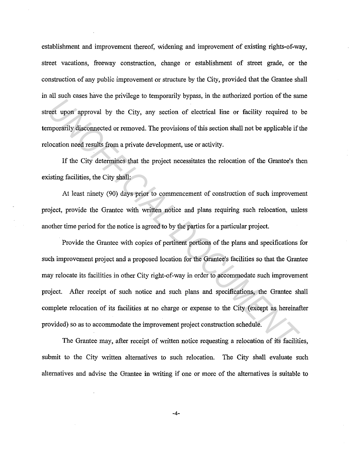establishment and improvement thereof, widening and improvement of existing rights-of-way, street vacations, freeway construction, change or establishment of street grade, or the construction of any public improvement or structure by the City, provided that the Grantee shall in all such cases have the privilege to temporarily bypass, in the authorized portion of the same street upon approval by the City, any section of electrical line or facility required to be temporarily disconnected or removed. The provisions ofthis section shall not be applicable if the relocation need results from a private development, use or activity.

If the City determines that the project necessitates the relocation of the Grantee's then existing facilities, the City shall:

At least ninety (90) days prior to commencement of construction of such improvement project, provide the Grantee with written notice and plans requiring such relocation, unless another time period for the notice is agreed to by the parties for a particular project.

Provide the Grantee with copies of pertinent portions of the plans and specifications for such improvement project and a proposed location for the Grantee's facilities so that the Grantee may relocate its facilities in other City right-of-way in order to accommodate such improvement project. After receipt of such notice and such plans and specifications, the Grantee shall complete relocation of its facilities at no charge or expense to the City (except as hereinafter provided) so as to accommodate the improvement project construction schedule. *Universide introduce in the Linitation* of proposal *in the manifolical line* or facility required to example about the City, any section of electrical line or facility required to loosening disconnected or removed. The p

The Grantee may, after receipt of written notice requesting a relocation of its facilities, submit to the City written alternatives to such relocation. The City shall evaluate such alternatives and advise the Grantee in writing if one or more of the alternatives is suitable to

-4-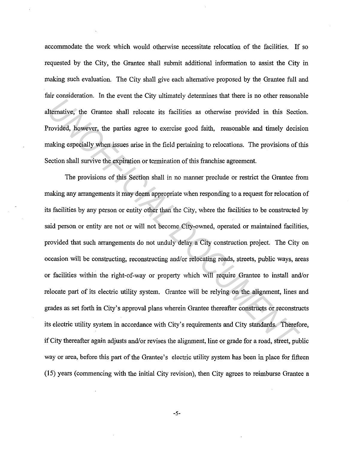accommodate the work which would otherwise necessitate relocation of the facilities. If so requested by the City, the Grantee shall submit additional information to assist the City in making such evaluation. The City shall give each alternative proposed by the Grantee full and fair consideration. In the event the City ultimately determines that there is no other reasonable alternative, the Grantee shall relocate its facilities as otherwise provided in this Section. Provided, however, the parties agree to exercise good faith, reasonable and timely decision making especially when issues arise in the field pertaining to relocations. The provisions of this Section shall survive the expiration or termination of this franchise agreement.

The provisions of this Section shall in no manner preclude or restrict the Grantee from making any arrangements it may deem appropriate when responding to a request for relocation of its facilities by any person or entity other than the City, where the facilities to be constructed by said person or entity are not or will not become City-owned, operated or maintained facilities, provided that such arrangements do not unduly delay a City construction project. The City on occasion will be constructing, reconstructing and/or relocating roads, streets, public ways, areas or facilities within the right-of-way or property which will require Grantee to install and/or relocate part of its electric utility system. Grantee will be relying on the alignment, lines and grades as set forth in City's approval plans wherein Grantee thereafter constructs or reconstructs its electric utility system in accordance with City's requirements and City standards. Therefore, if City thereafter again adjusts and/or revises the alignment, line or grade for a road, street, public way or area, before this part of the Grantee's electric utility system has been in place for fifteen (15) years (commencing with the initial City revision), then City agrees to reimburse Grantee a **Example 10** The Grantee shall relocate its facilities as otherwise provided in this Section<br>Idenative, the Grantee shall relocate its facilities as otherwise provided in this Section<br>Viending especially when issues arise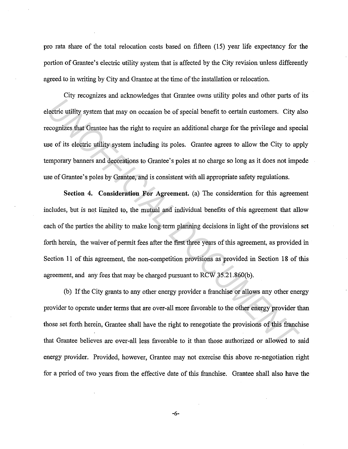pro rata share of the total relocation costs based on fifteen (15) year life expectancy for the portion of Grantee's electric utility system that is affected by the City revision unless differently agreed to in writing by City and Grantee at the time of the installation or relocation.

City recognizes and acknowledges that Grantee owns utility poles and other parts of its electric utility system that may on occasion be of special benefit to certain customers. City also recognizes that Grantee has the right to require an additional charge for the privilege and special use of its electric utility system including its poles. Grantee agrees to allow the City to apply temporary banners and decorations to Grantee's poles at no charge so long as it does not impede use of Grantee's poles by Grantee, and is consistent with all appropriate safety regulations.

**Section 4. Consideration For Agreement.** (a) The consideration for this agreement includes, but is not limited to, the mutual and individual benefits of this agreement that allow each of the parties the ability to make long term planning decisions in light of the provisions set forth herein, the waiver of permit fees after the first three years of this agreement, as provided in Section 11 of this agreement, the non-competition provisions as provided in Section 18 of this agreement, and any fees that may be charged pursuant to RCW 35.21.860(b). *UNITY SURFORTER CONTIFICATE CONTIFICATE CONTIFICATE SERIPTIONS CONTIFICATE UNITY SYSTEM IN A CONTIFICIAL DEVIDENCIAL CONTIFICIAL DEVIDENCIAL CONTIFICIAL DEVIDENCIAL DEVIDENCIAL DEVIDENCIAL DEVIDENCIAL DEVIDENCIAL DEVIDENC* 

(b) If the City grants to any other energy provider a franchise or allows any other energy provider to operate under terms that are over-all more favorable to the other energy provider than those set forth herein, Grantee shall have the right to renegotiate the provisions of this franchise that Grantee believes are over-all less favorable to it than those authorized or allowed to said energy provider. Provided, however, Grantee may not exercise this above re-negotiation right for a period of two years from the effective date of this franchise. Grantee shall also have the

-6-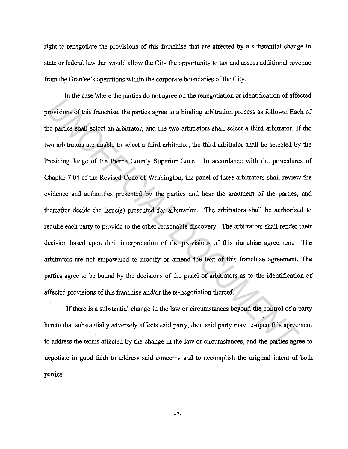right to renegotiate the provisions of this franchise that are affected by a substantial change in state or federal law that would allow the City the opportunity to tax and assess additional revenue from the Grantee's operations within the corporate boundaries of the City.

In the case where the parties do not agree on the renegotiation or identification of affected provisions of this franchise, the parties agree to a binding arbitration process as follows: Each of the parties shall select an arbitrator, and the two arbitrators shall select a third arbitrator. If the two arbitrators are unable to select a third arbitrator, the third arbitrator shall be selected by the Presiding Judge of the Pierce County Superior Court. In accordance with the procedures of Chapter 7 .04 of the Revised Code of Washington, the panel of three arbitrators shall review the evidence and authorities presented by the parties and hear the argument of the parties, and thereafter decide the issue(s) presented for arbitration. The arbitrators shall be authorized to require each party to provide to the other reasonable discovery. The arbitrators shall render their decision based upon their interpretation of the provisions of this franchise agreement. The arbitrators are not empowered to modify or amend the text of this franchise agreement. The parties agree to be bound by the decisions of the panel of arbitrators as to the identification of affected provisions of this franchise and/or the re-negotiation thereof. *Un* also also *Entire as partice* are interigence of *notalized* or *notalized* or *notalized* or *notalized* or *notalized* or *notalized* or *notalized* or *notalized* or *n notalized or <i>n notalized or <i>n notaliz* 

If there is a substantial change in the law or circumstances beyond the control of a party hereto that substantially adversely affects said party, then said party may re-open this agreement to address the terms affected by the change in the law or circumstances, and the parties agree to negotiate in good faith to address said concerns and to accomplish the original intent of both parties.

-7-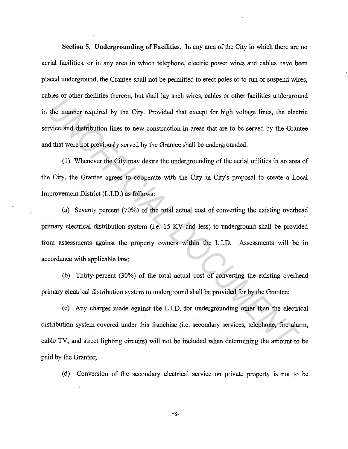**Section 5. Undergrounding of Facilities.** In any area of the City in which there are no aerial facilities, or in any area in which telephone, electric power wires and cables have been placed underground, the Grantee shall not be permitted to erect poles or to run or suspend wires, cables or other facilities thereon, but shall lay such wires, cables or other facilities underground in the manner required by the City. Provided that except for high voltage lines, the electric service and distribution lines to new construction in areas that are to be served by the Grantee and that were not previously served by the Grantee shall be undergrounded.

(1) Whenever the City may desire the undergrounding of the aerial utilities in an area of the City, the Grantee agrees to cooperate with the City in City's proposal to create a Local Improvement District (L.1.D.) as follows:

(a) Seventy percent (70%) of the total actual cost of converting the existing overhead primary electrical distribution system (i.e. 15 KV and less) to underground shall be provided from assessments against the property owners within the L.l.D. Assessments will be in accordance with applicable law; *Under a whileve and calcula, but while in y date. Therefore heath shares where a matter interest the City. Provided that except for high voltage lines, the electrice and distribution lines to new construction in areas tha* 

(b) Thirty percent (30%) of the total actual cost of converting the existing overhead primary electrical distribution system to underground shall be provided for by the Grantee;

(c) Any charges made against the L.l.D. for undergrounding other than the electrical distribution system covered under this franchise (i.e. secondary services, telephone, fire alarm, cable TV, and street lighting circuits) will not be included when determining the amount to be paid by the Grantee;

( d) Conversion of the secondary electrical service on private property is not to be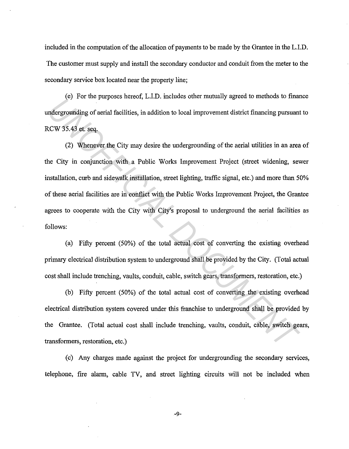included in the computation of the allocation of payments to be made by the Grantee in the L.l.D. The customer must supply and install the secondary conductor and conduit from the meter to the secondary service box located near the property line;

(e) For the purposes hereof, L.l.D. includes other mutually agreed to methods to finance undergrounding of aerial facilities, in addition to local improvement district financing pursuant to RCW 35.43 et. seq.

(2) Whenever the City may desire the undergrounding of the aerial utilities in an area of the City in conjunction with a Public Works Improvement Project (street widening, sewer installation, curb and sidewalk installation, street lighting, traffic signal, etc.) and more than 50% of these aerial facilities are in conflict with the Public Works Improvement Project, the Grantee agrees to cooperate with the City with City's proposal to underground the aerial facilities as follows: *UP 1 Dr. du purposed antion, Emily, meatures dust maturary egoco of meation of managrounding of aerial facilities, in addition to local improvement district financing pursuant ICW 35.43 et. seq.<br>
(2) Whenever the City may* 

(a) Fifty percent (50%) of the total actual cost of converting the existing overhead primary electrical distribution system to underground shall be provided by the City. (Total actual cost shall include trenching, vaults, conduit, cable, switch gears, transformers, restoration, etc.)

(b) Fifty percent (50%) of the total actual cost of converting the existing overhead electrical distribution system covered under this franchise to underground shall be provided by the Grantee. (Total actual cost shall include trenching, vaults, conduit, cable, switch gears, transformers, restoration, etc.)

( c) Any charges made against the project for undergrounding the secondary services, telephone, fire alarm, cable TV, and street lighting circuits will not be included when

-9-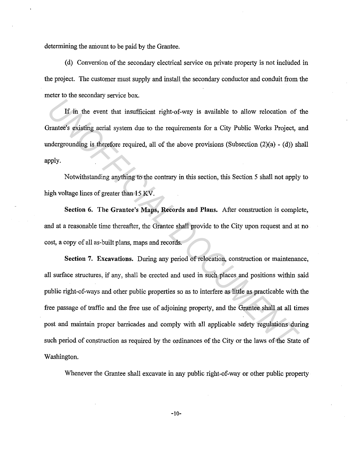determining the amount to be paid by the Grantee.

( d) Conversion of the secondary electrical service on private property is not included in the project. The customer must supply and install the secondary conductor and conduit from the meter to the secondary service box.

If in the event that insufficient right-of-way is available to allow relocation of the Grantee's existing aerial system due to the requirements for a City Public Works Project, and undergrounding is therefore required, all of the above provisions (Subsection (2)(a) - (d)) shall apply.

Notwithstanding anything to the contrary in this section, this Section 5 shall not apply to high voltage lines of greater than 15 KV.

**Section 6. The Grantee's Maps, Records and Plans.** After construction is complete, and at a reasonable time thereafter, the Grantee shall provide to the City upon request and at no cost, a copy of all as-built plans, maps and records.

**Section 7. Excavations.** During any period of relocation, construction or maintenance, all surface structures, if any, shall be erected and used in such places and positions within said public right-of-ways and other public properties so as to interfere as little as practicable with the free passage of traffic and the free use of adjoining property, and the Grantee shall at all times post and maintain proper barricades and comply with all applicable safety regulations during such period of construction as required by the ordinances of the City or the laws of the State of Washington. **IF in the event that insufficient right-of-way is available to allow relocation of**<br> **If in the event that insufficient right-of-way is available to allow relocation of**<br> **Interest existing acrial system due to the requir** 

Whenever the Grantee shall excavate in any public right-of-way or other public property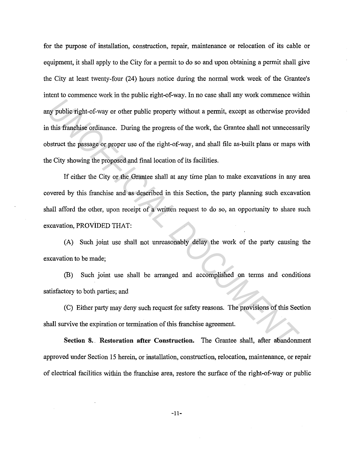for the purpose of installation, construction, repair, maintenance or relocation of its cable or equipment, it shall apply to the City for a permit to do so and upon obtaining a permit shall give the City at least twenty-four (24) hours notice during the normal work week of the Grantee's intent to commence work in the public right-of-way. In no case shall any work commence within any public right-of-way or other public property without a permit, except as otherwise provided in this franchise ordinance. During the progress of the work, the Grantee shall not unnecessarily obstruct the passage or proper use of the right-of-way, and shall file as-built plans or maps with the City showing the proposed and final location of its facilities. **Example 10** in the property without a permit, except as otherwise provided that the passage or proper use of the right-of-way, and shall file as-built plans or maps vistinct the passage or proper use of the right-of-way,

If either the City or the Grantee shall at any time plan to make excavations in any area covered by this franchise and as described in this Section, the party planning such excavation shall afford the other, upon receipt of a written request to do so, an opportunity to share such excavation, PROViDED THAT:

(A) Such joint use shall not unreasonably delay the work of the party causing the excavation to be made;

(B) Such joint use shall be arranged and accomplished on terms and conditions satisfactory to both parties; and

(C) Either party may deny such request for safety reasons. The provisions of this Section shall survive the expiration or termination of this franchise agreement.

**Section** 8. . **Restoration after Construction.** The Grantee shall, after abandonment approved under Section 15 herein, or installation, construction, relocation, maintenance, or repair of electrical facilities within the franchise area, restore the surface of the right-of-way or public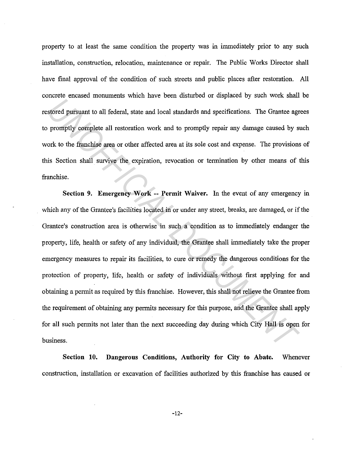property to at least the same condition the property was in innnediately prior to any such installation, construction, relocation, maintenance or repair. The Public Works Director shall have final approval of the condition of such streets and public places after restoration. All concrete encased monuments which have been disturbed or displaced by such work shall be restored pursuant to all federal, state and local standards and specifications. The Grantee agrees to promptly complete all restoration work and to promptly repair any damage caused by such work to the franchise area or other affected area at its sole cost and expense. The provisions of this Section shall survive the expiration, revocation or termination by other means of this franchise.

**Section 9. Emergency Work -- Permit Waiver.** In the event of any emergency in which any of the Grantee's facilities located in or under any street, breaks, are damaged, or if the Grantee's construction area is otherwise in such a condition as to innnediately endanger the property, life, health or safety of any individual, the Grantee shall immediately take the proper emergency measures to repair its facilities, to cure or remedy the dangerous conditions for the protection of property, life, health or safety of individuals without first applying for and obtaining a permit as required by this franchise. However, this shall not relieve the Grantee from the requirement of obtaining any permits necessary for this purpose, and the Grantee shall apply for all such permits not later than the next succeeding day during which City Hall is open for business. *Union and the members of the set of any and the set of any and the set of any analysis of the members of promptly complete all restoration work and to promptly repair any damage caused by stork to the framchise area or ot* 

**Section 10. Dangerous Conditions, Authority for City to Abate.** Whenever construction, installation or excavation of facilities authorized by this franchise has caused or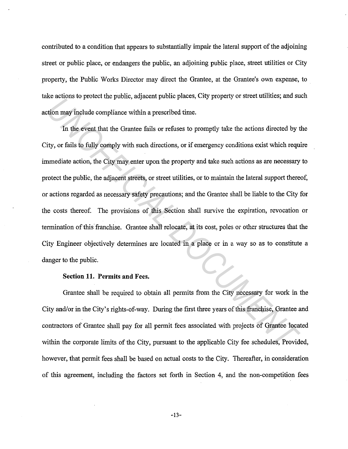contributed to a condition that appears to substantially impair the lateral support of the adjoining street or public place, or endangers the public, an adjoining public place, street utilities or City property, the Public Works Director may direct the Grantee, at the Grantee's own expense, to take actions to protect the public, adjacent public places, City property or street utilities; and such action may include compliance within a prescribed time.

In the event that the Grantee fails or refuses to promptly take the actions directed by the City, or fails to fully comply with such directions, or if emergency conditions exist which require immediate action, the City may enter upon the property and take such actions as are necessary to protect the public, the adjacent streets, or street utilities, or to maintain the lateral support thereof, or actions regarded as necessary safety precautions; and the Grantee shall be liable to the City for the costs thereof. The provisions of this Section shall survive the expiration, revocation or termination of this franchise. Grantee shall relocate, at its cost, poles or other structures that the City Engineer objectively determines are located in a place or in a way so as to constitute a danger to the public. *Understands we protect the proteic, engineerii proteic proteic care and the actions directed by the event that the Grantee fails or refuses to promptly take the actions directed by the event that the Grantee fails or refu* 

## **Section 11. Permits and** Fees.

Grantee shall be required to obtain all permits from the City necessary for work in the City and/or in the City's rights-of-way. During the first three years of this franchise, Grantee and contractors of Grantee shall pay for all permit fees associated with projects of Grantee located within the corporate limits of the City, pursuant to the applicable City fee schedules, Provided, however, that permit fees shall be based on actual costs to the City. Thereafter, in consideration of this agreement, including the factors set forth in Section 4, and the non-competition fees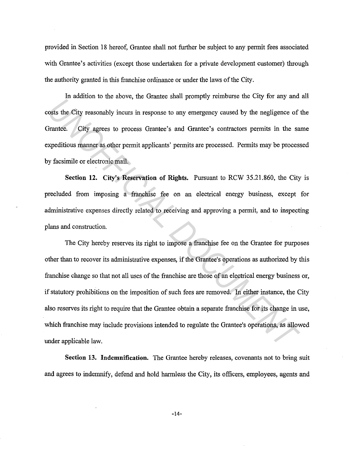provided in Section 18 hereof, Grantee shall not further be subject to any permit fees associated with Grantee's activities (except those undertaken for a private development customer) through the authority granted in this franchise ordinance or under the laws of the City.

In addition to the above, the Grantee shall promptly reimburse the City for any and all costs the City reasonably incurs in response to any emergency caused by the negligence of the Grantee. City agrees to process Grantee's and Grantee's contractors permits in the same expeditious manner as other permit applicants' permits are processed. Permits may be processed by facsimile or electronic mail.

**Section 12. City's Reservation of Rights.** Pursuant to RCW 35.21.860, the City is precluded from imposing a franchise fee on an electrical energy business, except for administrative expenses directly related to receiving and approving a permit, and to inspecting plans and construction.

The City hereby reserves its right to impose a franchise fee on the Grantee for purposes other than to recover its administrative expenses, if the Grantee's operations as authorized by this franchise change so that not all uses of the franchise are those of an electrical energy business or, if statutory prohibitions on the imposition of such fees are removed. In either instance, the City also reserves its right to require that the Grantee obtain a separate franchise for its change in use, which franchise may include provisions intended to regulate the Grantee's operations, as allowed under applicable law. *Un* addition to die above, the shance shan promptly removed are only for any anti-<br>
osts the City reasonably incurs in response to any emergency caused by the negligence of<br> *Trantee.* City agrees to process Grantee's ema

**Section 13. Indemnification.** The Grantee hereby releases, covenants not to bring suit and agrees to indemnify, defend and hold harmless the City, its officers, employees, agents and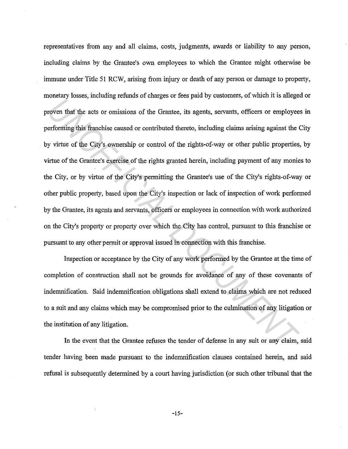representatives from any and all claims, costs, judgments, awards or liability to any person, including claims by the Grantee's own employees to which the Grantee might otherwise be immune under Title 51 RCW, arising from injury or death of any person or damage to property, monetary losses, including refunds of charges or fees paid by customers, of which it is alleged or proven that the acts or omissions of the Grantee, its agents, servants, officers or employees in performing this franchise caused or contributed thereto, including claims arising against the City by virtue of the City's ownership or control of the rights-of-way or other public properties, by virtue of the Grantee's exercise of the rights granted herein, including payment of any monies to the City, or by virtue of the City's permitting the Grantee's use of the City's rights-of-way or other public property, based upon the City's inspection or lack of inspection of work performed by the Grantee, its agents and servants, officers or employees in connection with work authorized on the City's property or property over which the City has control, pursuant to this franchise or pursuant to any other permit or approval issued in connection with this franchise. *UNITED* and the sets or omissions of the Grantee, its agents, servants, officers or employee erforming this franchise caused or contributed thereto, including claims arising against the ty virtue of the City's omership or

Inspection or acceptance by the City of any work performed by the Grantee at the time of completion of construction shall not be grounds for avoidance of any of these covenants of indemnification. Said indemnification obligations shall extend to claims which are not reduced to a suit and any claims which may be compromised prior to the culmination of any litigation or the institution of any litigation.

In the event that the Grantee refuses the tender of defense in any suit or any claim, said tender having been made pursuant to the indemnification clauses contained herein, and said refusal is subsequently determined by a court having jurisdiction (or such other tribunal that the

-15-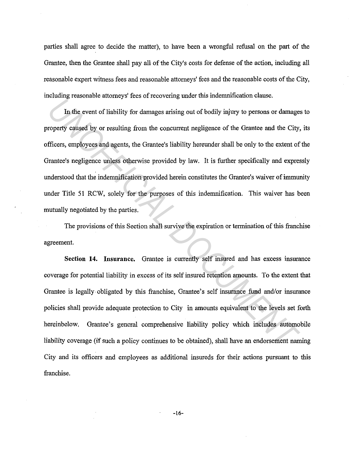parties shall agree to decide the matter), to have been a wrongful refusal on the part of the Grantee, then the Grantee shall pay all of the City's costs for defense of the action, including all reasonable expert witness fees and reasonable attorneys' fees and the reasonable costs of the City, including reasonable attorneys' fees of recovering under this indemnification clause.

In the event of liability for damages arising out of bodily injury to persons or damages to property caused by or resulting from the concurrent negligence of the Grantee and the City, its officers, employees and agents, the Grantee's liability hereunder shall be only to the extent of the Grantee's negligence unless otherwise provided by law. It is further specifically and expressly understood that the indemnification provided herein constitutes the Grantee's waiver of immunity under Title 51 RCW, solely for the purposes of this indemnification. This waiver has been mutually negotiated by the parties. **Example and the Constraints and the main in the constrained and the constrained in the constrained by the constraints and the City, filters, employees and agents, the Grantee's liability bereunder shall be only to the ext** 

The provisions of this Section shall survive the expiration or termination of this franchise agreement.

**Section 14. Insurance.** Grantee is currently self insured and has excess insurance coverage for potential liability in excess of its self insured retention amounts. To the extent that Grantee is legally obligated by this franchise, Grantee's self insurance fund and/or insurance policies shall provide adequate protection to City in amounts equivalent to the levels set forth hereinbelow. Grantee's general comprehensive liability policy which includes automobile liability coverage (if such a policy continues to be obtained), shall have an endorsement naming City and its officers and employees as additional insureds for their actions pursuant to this franchise.

-16-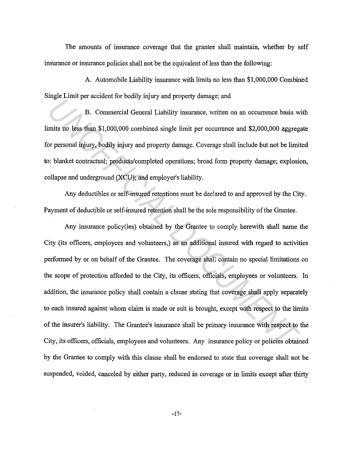The amounts of insurance coverage that the grantee shall maintain, whether by self insurance or insurance policies shall not be the equivalent of less than the following:

A. Automobile Liability insurance with limits no less than \$1,000,000 Combined Single Limit per accident for bodily injury and property damage; and

B. Commercial General Liability insurance, written on an occurrence basis with limits no less than \$1,000,000 combined single limit per occurrence and \$2,000,000 aggregate for personal injury, bodily injury and property damage. Coverage shall include but not be limited to: blanket contractual; products/completed operations; broad form property damage; explosion, collapse and underground (XCU); and employer's liability.

Any deductibles or self-insured retentions must be declared to and approved by the City. Payment of deductible or self-insured retention shall be the sole responsibility of the Grantee.

Any insurance policy(ies) obtained by the Grantee to comply herewith shall name the City (its officers, employees and volunteers,) as an additional insured with regard to activities performed by or on behalf of the Grantee. The coverage shall contain no special limitations on the scope of protection afforded to the City, its officers, officials, employees or volunteers. In addition, the insurance policy shall contain a clause stating that coverage shall apply separately to each insured against whom claim is made or suit is brought, except with respect to the limits of the insurer's liability. The Grantee's insurance shall be primary insurance with respect to the City, its officers, officials, employees and volunteers. Any insurance policy or policies obtained by the Grantee to comply with this clause shall be endorsed to state that coverage shall not be suspended, voided, canceled by either party, reduced in coverage or in limits except after thirty *Uncertral Constant of books, in the property demays, were*<br> **B.** Commercial General Liability insurance, written on an occurrence basis w<br> *UNOFFICIAL DOCUMENTA* and property damage. Coverage shall include but not be limi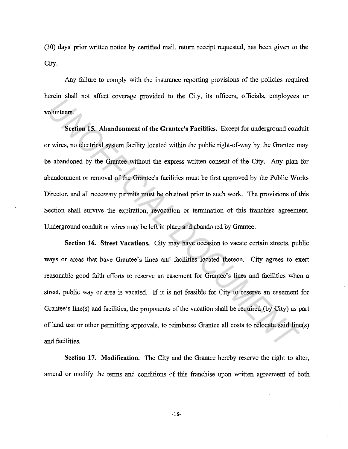(30) days' prior written notice by certified mail, return receipt requested, has been given to the City.

Any failure to comply with the insurance reporting provisions of the policies required herein shall not affect coverage provided to the City, its officers, officials, employees or volunteers.

**Section 15. Abandonment of the Grantee's Facilities.** Excepi for underground conduit or wires, no electrical system facility located within the public right-of-way by the Grantee may be abandoned by the Grantee without the express written consent of the City. Any plan for abandonment or removal of the Grantee's facilities must be first approved by the Public Works Director, and all necessary permits must be obtained prior to such work. The provisions of this Section shall survive the expiration, revocation or termination of this franchise agreement. Underground conduit or wires may be left in place and abandoned by Grantee. France is a state of the Grantee's Facilities. Except for underground conductors<br> *Universes*<br> *University Section 15. Abandonment of the Grantee's Facilities. Except for underground conductives, to electrical system facil* 

**Section 16. Street Vacations.** City may have occasion to vacate certain streets, public ways or areas that have Grantee's lines and facilities located thereon. City agrees to exert reasonable good faith efforts to reserve an easement for Grantee's lines and facilities when a street, public way .or area is vacated. If it is not feasible for City to reserve an easement for Grantee's line(s) and facilities, the proponents of the vacation shall be required (by City) as part of land use or other permitting approvals, to reimburse Grantee all costs to relocate said line(s) and facilities.

Section 17. Modification. The City and the Grantee hereby reserve the right to alter, amend or modify the terms and conditions of this franchise upon written agreement of both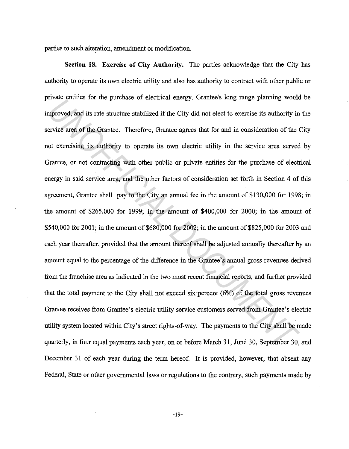parties to such alteration, amendment or modification.

**Section 18. Exercise of City Authority.** The parties acknowledge that the City has authority to operate its own electric utility and also has authority to contract with other public or private entities for the purchase of electrical energy. Grantee's Jong range planning would be improved, and its rate structure stabilized if the City did not elect to exercise its authority in the service area of the Grantee. Therefore, Grantee agrees that for and in consideration of the City not exercising its authority to operate its own electric utility in the service area served by Grantee, or not contracting with other public or private entities for the purchase of electrical energy in said service area, and the other factors of consideration set forth in Section 4 of this agreement, Grantee shall pay to the City an annual fee in the amount of \$130,000 for 1998; in the amount of \$265,000 for 1999; in the amount of \$400,000 for 2000; in the amount of \$540,000 for 2001; in the amount of \$680,000 for 2002; in the amount of \$825,000 for 2003 and each year thereafter, provided that the amount thereof shall be adjusted annually thereafter by an amount equal to the percentage of the difference in the Grantee's annual gross revenues derived from the franchise area as indicated in the two most recent financial reports, and further provided that the total payment to the City shall not exceed six percent (6%) of the total gross revenues Grantee receives from Grantee's electric utility service customers served from Grantee's electric utility system located within City's street rights-of-way. The payments to the City shall be made quarterly, in four equal payments each year, on or before March 31, June 30, September 30, and December 31 of each year during the term hereof. It is provided, however, that absent any Federal, State or other governmental Jaws or regulations to the contrary, such payments made by *UNDER CONDITE 10* and the putual energy. Unantees ong lange planning wouter<br>proved, and its rate structure stabilized if the City did not elect to exercise its authority in<br>ervice area of the Grantee. Therefore, Grantee a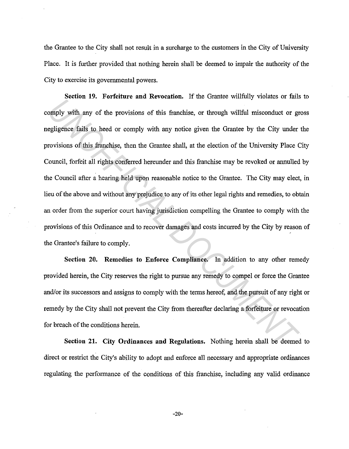the Grantee to the City shall not result in a surcharge to the customers in the City of University Place. It is further provided that nothing herein shall be deemed to impair the authority of the City to exercise its governmental powers.

**Section 19. Forfeiture and Revocation.** If the Grantee willfully violates or fails to comply with any of the provisions of this franchise, or through willful misconduct or gross negligence fails to heed or comply with any notice given the Grantee by the City under the provisions of this franchise, then the Grantee shall, at the election of the University Place City Council, forfeit all rights conferred hereunder and this franchise may be revoked or annulled by the Council after a hearing held upon reasonable notice to the Grantee. The City may elect, in lieu of the above and without any prejudice to any of its other legal rights and remedies, to obtain an order from the superior court having jurisdiction compelling the Grantee to comply with the provisions of this Ordinance and to recover damages and costs incurred by the City by reason of the Grantee's failure to comply. *United the Seconds of this contents.* The state wind of the state of the state of the provisions of this franchise, or through willful misconduct or gredigence fails to heed or comply with any notice given the Grantee by

**Section 20. Remedies to Enforce Compliance.** In addition to any other remedy provided herein, the City reserves the right to pursue any remedy to compel or force the Grantee and/or its successors and assigns to comply with the terms hereof, and the pursuit of any right or remedy by the City shall not prevent the City from thereafter declaring a forfeiture or revocation for breach of the conditions herein.

**Section 21. City Ordinances and Regulations.** Nothing herein shall be deemed to direct or restrict the City's ability to adopt and enforce all necessary and appropriate ordinances regulating the performance of the conditions of this franchise, including any valid ordinance

-20-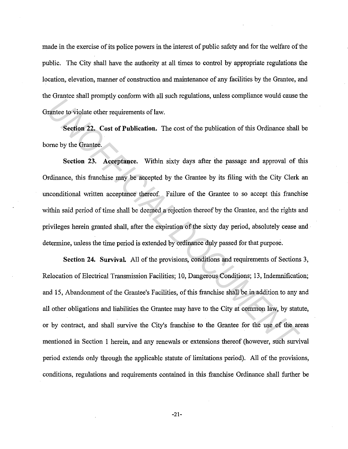made in the exercise of its police powers in the interest of public safety and for the welfare of the public. The City shall have the authority at all times to control by appropriate regulations the location, elevation, manner of construction and maintenance of any facilities by the Grantee, and the Grantee shall promptly conform with all such regulations, unless compliance would cause the Grantee to violate other requirements of law.

**Section 22. Cost of Publication.** The cost of the publication of this Ordinance shall be borne by the Grantee.

**Section 23. Acceptance.** Within sixty days after the passage and approval of this Ordinance, this franchise may be accepted by the Grantee by its filing with the City Clerk an unconditional written acceptance thereof. Failure of the Grantee to so accept this franchise within said period of time shall be deemed a rejection thereof by the Grantee, and the rights and privileges herein granted shall, after the expiration of the sixty day period, absolutely cease and determine, unless the time period is extended by ordinance duly passed for that purpose.

**Section 24. Survival.** All of the provisions, conditions and requirements of Sections 3, Relocation of Electrical Transmission Facilities; 10, Dangerous Conditions; 13, Indemnification; and 15, Abandonment of the Grantee's Facilities, of this franchise shall be in addition to any and all other obligations and liabilities the Grantee may have to the City at common law, by statute, or by contract, and shall survive the City's franchise to the Grantee for the use of the areas mentioned in Section 1 herein, and any renewals or extensions thereof (however, such survival period extends only through the applicable statute of limitations period). All of the provisions, conditions, regulations and requirements contained in this franchise Ordinance shall further be *Underto that promptal* content when an set regeneration, state computed weak state of the cost of the publication of this Ordinance shall<br>one by the Grantee.<br>Section 23. Acceptance. Within sixty days after the passage and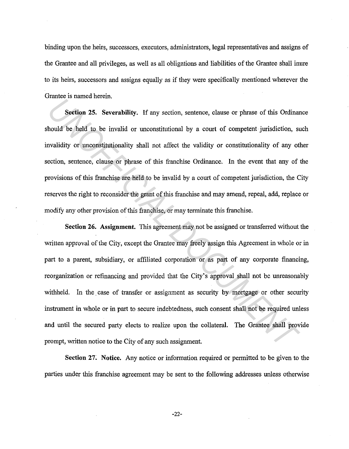binding upon the heirs, successors, executors, administrators, legal representatives and assigns of the Grantee and all privileges, as well as all obligations and liabilities of the Grantee shall inure to its heirs, successors and assigns equally as if they were specifically mentioned wherever the Grantee is named herein.

**Section 25. Severability.** If any section, sentence, clause or phrase of this Ordinance should be held to be invalid or unconstitutional by a court of competent· jurisdiction, such invalidity or unconstitutionality shall not affect the validity or constitutionality of any other section, sentence, clause or phrase of this franchise Ordinance. In the event that any of the provisions of this franchise are held to be invalid by a court of competent jurisdiction, the City reserves the right to reconsider the grant of this franchise and may amend, repeal, add, replace or modify any other provision of this franchise, or may terminate this franchise.

**Section 26. Assignment.** This agreement may not be assigned or transferred without the written approval of the City, except the Grantee may freely assign this Agreement in whole or in part to a parent, subsidiary, or affiliated corporation or as part of any corporate financing, reorganization or refinancing and provided that the City's approval shall not be unreasonably withheld. In the case of transfer or assignment as security by mortgage or other security instrument in whole or in part to secure indebtedness, such consent shall not be required unless and until the secured party elects to realize upon the collateral. The Grantee shall provide prompt, written notice to the City of any such assignment. **Example 18 Follows Theory and Section**, sentence, clause or phrase of this Ordinal bould be held to be invalid or unconstitutional by a court of competent jurisdiction, stavalidity or unconstitutionality shall not affect

**Section 27; Notice.** Any notice or information required or permitted to be given to the parties under this franchise agreement may be sent to the following addresses unless otherwise

-22-